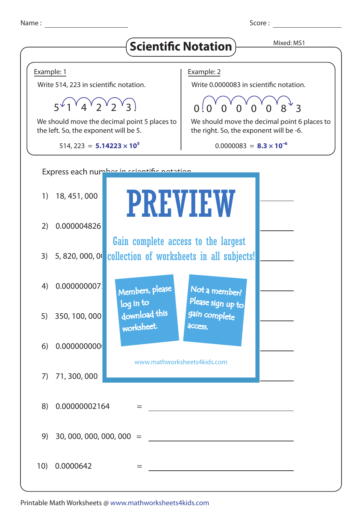Name : Score : Score : Score : Score : Score : Score : Score : Score : Score : Score : Score : Score : Score : Score : Score : Score : Score : Score : Score : Score : Score : Score : Score : Score : Score : Score : Score :



Printable Math Worksheets @ www.mathworksheets4kids.com